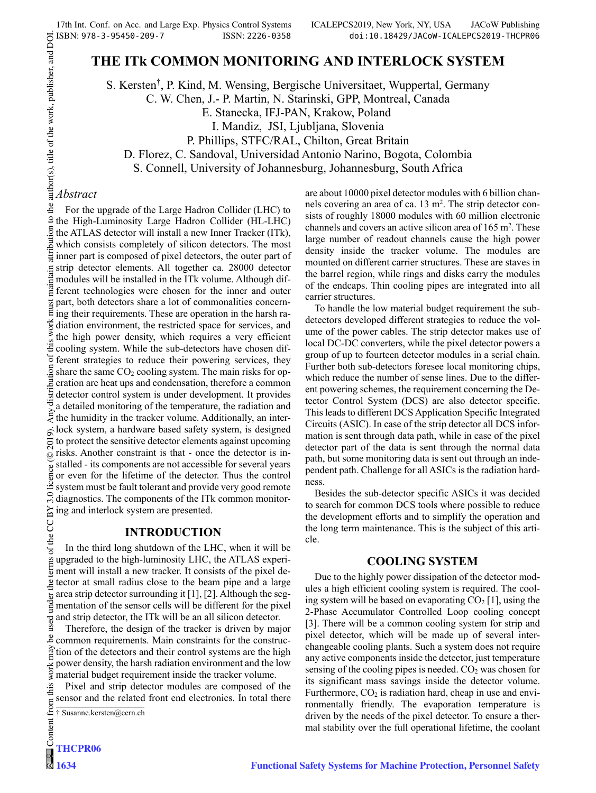are about 10000 pixel detector modules with 6 billion channels covering an area of ca. 13 m<sup>2</sup>. The strip detector consists of roughly 18000 modules with 60 million electronic channels and covers an active silicon area of  $165 \text{ m}^2$ . These large number of readout channels cause the high power density inside the tracker volume. The modules are mounted on different carrier structures. These are staves in the barrel region, while rings and disks carry the modules of the endcaps. Thin cooling pipes are integrated into all

To handle the low material budget requirement the subdetectors developed different strategies to reduce the volume of the power cables. The strip detector makes use of local DC-DC converters, while the pixel detector powers a group of up to fourteen detector modules in a serial chain. Further both sub-detectors foresee local monitoring chips, which reduce the number of sense lines. Due to the different powering schemes, the requirement concerning the Detector Control System (DCS) are also detector specific. This leads to different DCS Application Specific Integrated Circuits (ASIC). In case of the strip detector all DCS information is sent through data path, while in case of the pixel detector part of the data is sent through the normal data path, but some monitoring data is sent out through an independent path. Challenge for all ASICs is the radiation hard-

Besides the sub-detector specific ASICs it was decided to search for common DCS tools where possible to reduce the development efforts and to simplify the operation and the long term maintenance. This is the subject of this arti-

**COOLING SYSTEM**  Due to the highly power dissipation of the detector modules a high efficient cooling system is required. The cooling system will be based on evaporating  $CO<sub>2</sub>$  [1], using the 2-Phase Accumulator Controlled Loop cooling concept [3]. There will be a common cooling system for strip and pixel detector, which will be made up of several interchangeable cooling plants. Such a system does not require any active components inside the detector, just temperature sensing of the cooling pipes is needed.  $CO<sub>2</sub>$  was chosen for its significant mass savings inside the detector volume. Furthermore,  $CO<sub>2</sub>$  is radiation hard, cheap in use and environmentally friendly. The evaporation temperature is driven by the needs of the pixel detector. To ensure a thermal stability over the full operational lifetime, the coolant

# **THE ITk COMMON MONITORING AND INTERLOCK SYSTEM**

S. Kersten† S. Kersten<sup>†</sup>, P. Kind, M. Wensing, Bergische Universitaet, Wuppertal, Germany

C. W. Chen, J.- P. Martin, N. Starinski, GPP, Montreal, Canada

E. Stanecka, IFJ-PAN, Krakow, Poland

I. Mandiz, JSI, Ljubljana, Slovenia

P. Phillips, STFC/RAL, Chilton, Great Britain

D. Florez, C. Sandoval, Universidad Antonio Narino, Bogota, Colombia

S. Connell, University of Johannesburg, Johannesburg, South Africa

carrier structures.

ness.

cle.

# *Abstract*

For the upgrade of the Large Hadron Collider (LHC) to  $9$  the High-Luminosity Large Hadron Collider (HL-LHC) the ATLAS detector will install a new Inner Tracker (ITk), which consists completely of silicon detectors. The most  $\frac{1}{2}$  inner part is composed of pixel detectors, the outer part of strip detector elements. All together ca. 28000 detector modules will be installed in the ITk volume. Although different technologies were chosen for the inner and outer part, both detectors share a lot of commonalities concerning their requirements. These are operation in the harsh radiation environment, the restricted space for services, and the high power density, which requires a very efficient  $\ddot{\ddot{\mathcal{L}}}$  cooling system. While the sub-detectors have chosen different strategies to reduce their powering services, they share the same  $CO<sub>2</sub>$  cooling system. The main risks for operation are heat ups and condensation, therefore a common detector control system is under development. It provides a detailed monitoring of the temperature, the radiation and  $\geq$  a detailed momoting of the temperature, the radiation and  $\geq$  the humidity in the tracker volume. Additionally, an interlock system, a hardware based safety system, is designed  $201$ to protect the sensitive detector elements against upcoming risks. Another constraint is that - once the detector is in- $\odot$ stalled - its components are not accessible for several years or even for the lifetime of the detector. Thus the control system must be fault tolerant and provide very good remote diagnostics. The components of the ITk common monitor- $\approx$  ing and interlock system are presented.

#### **INTRODUCTION**

Content from this work may be used under the terms of the CC BY 3.0 licence ( $\epsilon$ terms of the In the third long shutdown of the LHC, when it will be upgraded to the high-luminosity LHC, the ATLAS experiment will install a new tracker. It consists of the pixel de- $\frac{1}{2}$  tector at small radius close to the beam pipe and a large  $\frac{1}{6}$  area strip detector surrounding it [1], [2]. Although the seg- $\frac{m}{2}$  mentation of the sensor cells will be different for the pixel and strip detector, the ITk will be an all silicon detector.

Therefore, the design of the tracker is driven by major common requirements. Main constraints for the construc- $\frac{1}{2}$  tion of the detectors and their control systems are the high power density, the harsh radiation environment and the low material budget requirement inside the tracker volume.

Pixel and strip detector modules are composed of the sensor and the related front end electronics. In total there

† Susanne.kersten@cern.ch

g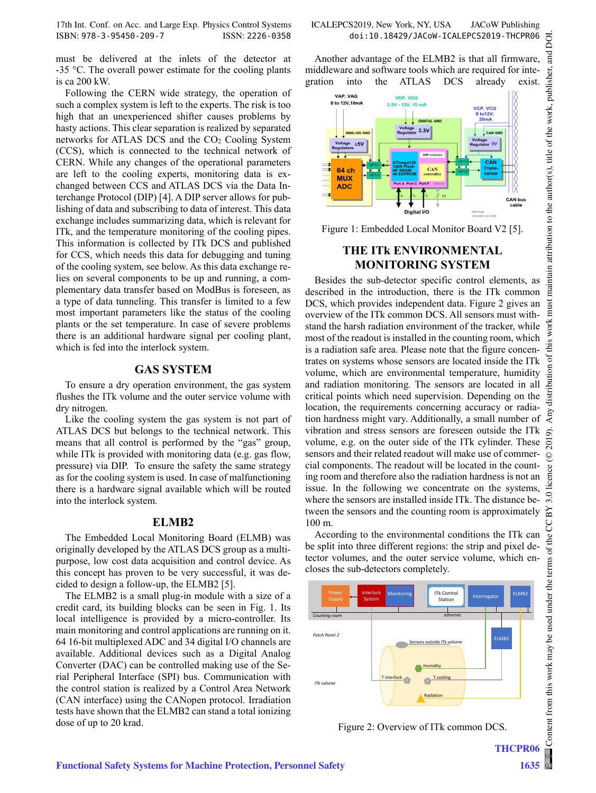17th Int. Conf. on Acc. and Large Exp. Physics Control Systems ICALEPCS2019, New York, NY, USA JACoW Publishing ISBN: 978-3-95450-209-7 ISSN: 2226-0358 doi:10.18429/JACoW-ICALEPCS2019-THCPR06

must be delivered at the inlets of the detector at -35 °C. The overall power estimate for the cooling plants is ca 200 kW.

Following the CERN wide strategy, the operation of such a complex system is left to the experts. The risk is too high that an unexperienced shifter causes problems by hasty actions. This clear separation is realized by separated networks for ATLAS DCS and the  $CO<sub>2</sub>$  Cooling System (CCS), which is connected to the technical network of CERN. While any changes of the operational parameters are left to the cooling experts, monitoring data is exchanged between CCS and ATLAS DCS via the Data Interchange Protocol (DIP) [4]. A DIP server allows for publishing of data and subscribing to data of interest. This data exchange includes summarizing data, which is relevant for ITk, and the temperature monitoring of the cooling pipes. This information is collected by ITk DCS and published for CCS, which needs this data for debugging and tuning of the cooling system, see below. As this data exchange relies on several components to be up and running, a complementary data transfer based on ModBus is foreseen, as a type of data tunneling. This transfer is limited to a few most important parameters like the status of the cooling plants or the set temperature. In case of severe problems there is an additional hardware signal per cooling plant, which is fed into the interlock system.

#### **GAS SYSTEM**

To ensure a dry operation environment, the gas system flushes the ITk volume and the outer service volume with dry nitrogen.

Like the cooling system the gas system is not part of ATLAS DCS but belongs to the technical network. This means that all control is performed by the "gas" group, while ITk is provided with monitoring data (e.g. gas flow, pressure) via DIP. To ensure the safety the same strategy as for the cooling system is used. In case of malfunctioning there is a hardware signal available which will be routed into the interlock system.

#### **ELMB2**

The Embedded Local Monitoring Board (ELMB) was originally developed by the ATLAS DCS group as a multipurpose, low cost data acquisition and control device. As this concept has proven to be very successful, it was decided to design a follow-up, the ELMB2 [5].

The ELMB2 is a small plug-in module with a size of a credit card, its building blocks can be seen in Fig. 1. Its local intelligence is provided by a micro-controller. Its main monitoring and control applications are running on it. 64 16-bit multiplexed ADC and 34 digital I/O channels are available. Additional devices such as a Digital Analog Converter (DAC) can be controlled making use of the Serial Peripheral Interface (SPI) bus. Communication with the control station is realized by a Control Area Network (CAN interface) using the CANopen protocol. Irradiation tests have shown that the ELMB2 can stand a total ionizing dose of up to 20 krad.

Another advantage of the ELMB2 is that all firmware, middleware and software tools which are required for integration into the ATLAS DCS already exist.



Figure 1: Embedded Local Monitor Board V2 [5].

#### **THE ITk ENVIRONMENTAL MONITORING SYSTEM**

Besides the sub-detector specific control elements, as described in the introduction, there is the ITk common DCS, which provides independent data. Figure 2 gives an overview of the ITk common DCS. All sensors must withstand the harsh radiation environment of the tracker, while most of the readout is installed in the counting room, which is a radiation safe area. Please note that the figure concentrates on systems whose sensors are located inside the ITk volume, which are environmental temperature, humidity and radiation monitoring. The sensors are located in all critical points which need supervision. Depending on the location, the requirements concerning accuracy or radiation hardness might vary. Additionally, a small number of vibration and stress sensors are foreseen outside the ITk volume, e.g. on the outer side of the ITk cylinder. These sensors and their related readout will make use of commercial components. The readout will be located in the counting room and therefore also the radiation hardness is not an issue. In the following we concentrate on the systems, where the sensors are installed inside ITk. The distance between the sensors and the counting room is approximately 100 m.

According to the environmental conditions the ITk can be split into three different regions: the strip and pixel detector volumes, and the outer service volume, which encloses the sub-detectors completely.



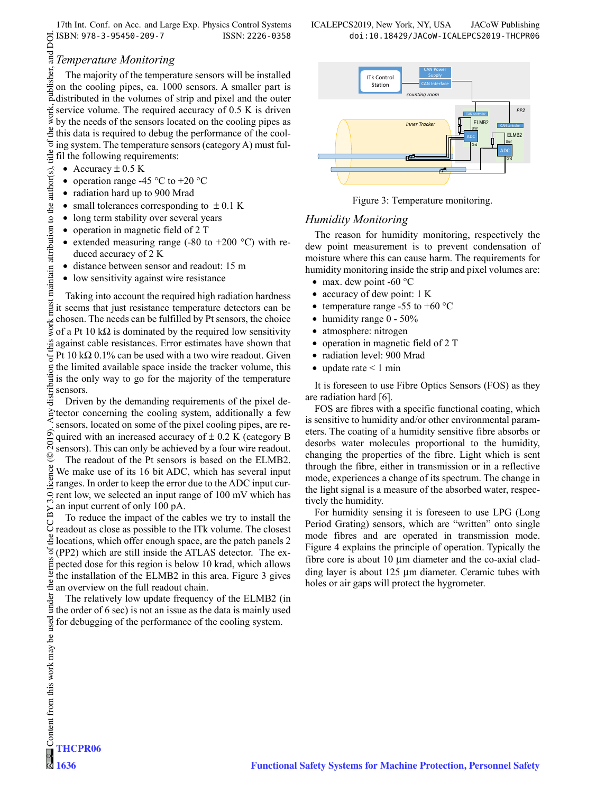17th Int. Conf. on Acc. and Large Exp. Physics Control Systems ICALEPCS2019, New York, NY, USA JACoW Publishing ISBN: 978-3-95450-209-7 ISSN: 2226-0358 doi:10.18429/JACoW-ICALEPCS2019-THCPR06

## *Temperature Monitoring*

The majority of the temperature sensors will be installed on the cooling pipes, ca. 1000 sensors. A smaller part is distributed in the volumes of strip and pixel and the outer work, service volume. The required accuracy of 0.5 K is driven by the needs of the sensors located on the cooling pipes as  $\frac{3}{2}$  this data is required to debug the performance of the cool- $\sigma$ ing system. The temperature sensors (category A) must fultitle fil the following requirements:

- Accuracy  $\pm$  0.5 K
- operation range -45  $\degree$ C to +20  $\degree$ C
- radiation hard up to 900 Mrad
- small tolerances corresponding to  $\pm$  0.1 K
- long term stability over several years
- operation in magnetic field of 2 T
- extended measuring range (-80 to +200  $^{\circ}$ C) with reduced accuracy of 2 K
- distance between sensor and readout: 15 m
- low sensitivity against wire resistance

 $\degree$  2019). Any distribution of this work must maintain attribution to the author(s), title of the work, publisher, and DOI.  $\degree$  s =  $\degree$  s =  $\degree$  s =  $\degree$  s =  $\degree$  s =  $\degree$  s =  $\degree$  s =  $\degree$  s =  $\degree$  s =  $\degree$  s =  $\degree$  s maintain attribution to the author(s). Taking into account the required high radiation hardness must<sub>1</sub> it seems that just resistance temperature detectors can be chosen. The needs can be fulfilled by Pt sensors, the choice work: of a Pt 10 k $\Omega$  is dominated by the required low sensitivity  $\frac{a}{b}$  against cable resistances. Error estimates have shown that  $\frac{1}{2}$  Pt 10 kΩ 0.1% can be used with a two wire readout. Given the limited available space inside the tracker volume, this is the only way to go for the majority of the temperature sensors.

Driven by the demanding requirements of the pixel detector concerning the cooling system, additionally a few sensors, located on some of the pixel cooling pipes, are re-2019). quired with an increased accuracy of  $\pm$  0.2 K (category B sensors). This can only be achieved by a four wire readout.  $\odot$ The readout of the Pt sensors is based on the ELMB2.  $\frac{8}{2}$  We make use of its 16 bit ADC, which has several input ranges. In order to keep the error due to the ADC input cur- $\degree$  rent low, we selected an input range of 100 mV which has an input current of only 100 pA.  $\overline{\mathrm{BY}}$ 

Content from this work may be used under the terms of the CC BY 3.0 licence ( $\epsilon$ To reduce the impact of the cables we try to install the D To reduce the implies of the state state. The closest  $\frac{3}{2}$  locations, which offer enough space, are the patch panels 2 đ (PP2) which are still inside the ATLAS detector. The exterms pected dose for this region is below 10 krad, which allows the installation of the ELMB2 in this area. Figure 3 gives  $\frac{6}{5}$  an overview on the full readout chain.

under The relatively low update frequency of the ELMB2 (in the order of 6 sec) is not an issue as the data is mainly used used for debugging of the performance of the cooling system.



Figure 3: Temperature monitoring.

#### *Humidity Monitoring*

The reason for humidity monitoring, respectively the dew point measurement is to prevent condensation of moisture where this can cause harm. The requirements for humidity monitoring inside the strip and pixel volumes are:

- max. dew point -60  $\degree$ C
- accuracy of dew point: 1 K
- temperature range -55 to +60  $\degree$ C
- humidity range 0 50%
- atmosphere: nitrogen
- operation in magnetic field of 2 T
- radiation level: 900 Mrad
- update rate  $\leq 1$  min

It is foreseen to use Fibre Optics Sensors (FOS) as they are radiation hard [6].

FOS are fibres with a specific functional coating, which is sensitive to humidity and/or other environmental parameters. The coating of a humidity sensitive fibre absorbs or desorbs water molecules proportional to the humidity, changing the properties of the fibre. Light which is sent through the fibre, either in transmission or in a reflective mode, experiences a change of its spectrum. The change in the light signal is a measure of the absorbed water, respectively the humidity.

For humidity sensing it is foreseen to use LPG (Long Period Grating) sensors, which are "written" onto single mode fibres and are operated in transmission mode. Figure 4 explains the principle of operation. Typically the fibre core is about 10 μm diameter and the co-axial cladding layer is about 125 μm diameter. Ceramic tubes with holes or air gaps will protect the hygrometer.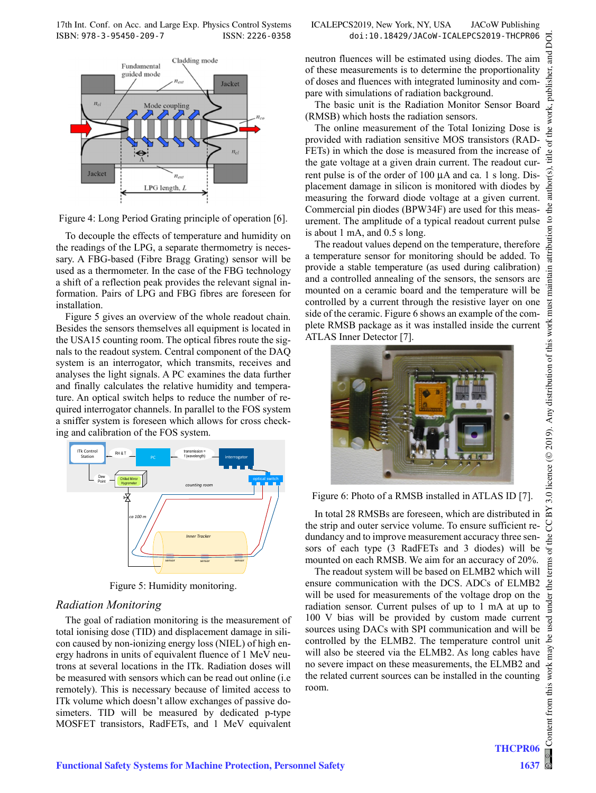17th Int. Conf. on Acc. and Large Exp. Physics Control Systems ICALEPCS2019, New York, NY, USA JACoW Publishing ISBN: 978-3-95450-209-7 ISSN: 2226-0358 doi:10.18429/JACoW-ICALEPCS2019-THCPR06



Figure 4: Long Period Grating principle of operation [6].

To decouple the effects of temperature and humidity on the readings of the LPG, a separate thermometry is necessary. A FBG-based (Fibre Bragg Grating) sensor will be used as a thermometer. In the case of the FBG technology a shift of a reflection peak provides the relevant signal information. Pairs of LPG and FBG fibres are foreseen for installation.

Figure 5 gives an overview of the whole readout chain. Besides the sensors themselves all equipment is located in the USA15 counting room. The optical fibres route the signals to the readout system. Central component of the DAQ system is an interrogator, which transmits, receives and analyses the light signals. A PC examines the data further and finally calculates the relative humidity and temperature. An optical switch helps to reduce the number of required interrogator channels. In parallel to the FOS system a sniffer system is foreseen which allows for cross checking and calibration of the FOS system.



Figure 5: Humidity monitoring.

#### *Radiation Monitoring*

The goal of radiation monitoring is the measurement of total ionising dose (TID) and displacement damage in silicon caused by non-ionizing energy loss (NIEL) of high energy hadrons in units of equivalent fluence of 1 MeV neutrons at several locations in the ITk. Radiation doses will be measured with sensors which can be read out online (i.e remotely). This is necessary because of limited access to ITk volume which doesn't allow exchanges of passive dosimeters. TID will be measured by dedicated p-type MOSFET transistors, RadFETs, and 1 MeV equivalent neutron fluences will be estimated using diodes. The aim of these measurements is to determine the proportionality of doses and fluences with integrated luminosity and compare with simulations of radiation background.

The basic unit is the Radiation Monitor Sensor Board (RMSB) which hosts the radiation sensors.

The online measurement of the Total Ionizing Dose is provided with radiation sensitive MOS transistors (RAD-FETs) in which the dose is measured from the increase of the gate voltage at a given drain current. The readout current pulse is of the order of 100 μA and ca. 1 s long. Displacement damage in silicon is monitored with diodes by measuring the forward diode voltage at a given current. Commercial pin diodes (BPW34F) are used for this measurement. The amplitude of a typical readout current pulse is about 1 mA, and 0.5 s long.

The readout values depend on the temperature, therefore a temperature sensor for monitoring should be added. To provide a stable temperature (as used during calibration) and a controlled annealing of the sensors, the sensors are mounted on a ceramic board and the temperature will be controlled by a current through the resistive layer on one side of the ceramic. Figure 6 shows an example of the complete RMSB package as it was installed inside the current ATLAS Inner Detector [7].



#### Figure 6: Photo of a RMSB installed in ATLAS ID [7].

In total 28 RMSBs are foreseen, which are distributed in the strip and outer service volume. To ensure sufficient redundancy and to improve measurement accuracy three sensors of each type (3 RadFETs and 3 diodes) will be mounted on each RMSB. We aim for an accuracy of 20%.

The readout system will be based on ELMB2 which will ensure communication with the DCS. ADCs of ELMB2 will be used for measurements of the voltage drop on the radiation sensor. Current pulses of up to 1 mA at up to 100 V bias will be provided by custom made current sources using DACs with SPI communication and will be controlled by the ELMB2. The temperature control unit will also be steered via the ELMB2. As long cables have no severe impact on these measurements, the ELMB2 and the related current sources can be installed in the counting room.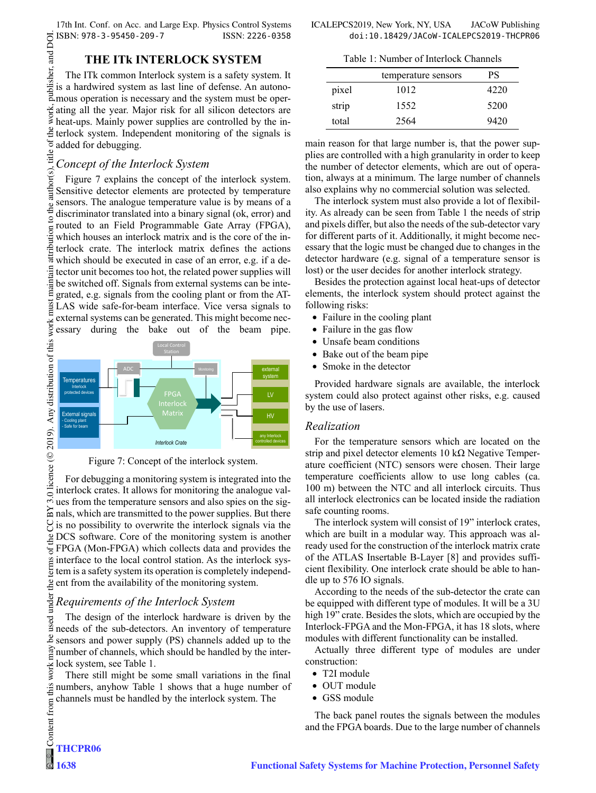17th Int. Conf. on Acc. and Large Exp. Physics Control Systems ICALEPCS2019, New York, NY, USA JACoW Publishing

#### **THE ITk INTERLOCK SYSTEM**

The ITk common Interlock system is a safety system. It is a hardwired system as last line of defense. An autonomous operation is necessary and the system must be operating all the year. Major risk for all silicon detectors are heat-ups. Mainly power supplies are controlled by the interlock system. Independent monitoring of the signals is added for debugging. title

# *Concept of the Interlock System*

 $\circ$  2019). Any distribution of this work must maintain attribution to the author(s), title of the work, publisher, and DOI. author(s). Figure 7 explains the concept of the interlock system. Sensitive detector elements are protected by temperature sensors. The analogue temperature value is by means of a to the discriminator translated into a binary signal (ok, error) and routed to an Field Programmable Gate Array (FPGA), which houses an interlock matrix and is the core of the interlock crate. The interlock matrix defines the actions which should be executed in case of an error, e.g. if a de- $\frac{1}{3}$  tector unit becomes too hot, the related power supplies will maint be switched off. Signals from external systems can be integrated, e.g. signals from the cooling plant or from the ATmust LAS wide safe-for-beam interface. Vice versa signals to external systems can be generated. This might become necessary during the bake out of the beam pipe.



Figure 7: Concept of the interlock system.

For debugging a monitoring system is integrated into the interlock crates. It allows for monitoring the analogue values from the temperature sensors and also spies on the signals, which are transmitted to the power supplies. But there  $\gamma$  is no possibility to overwrite the interlock signals via the DCS software. Core of the monitoring system is another  $\frac{1}{6}$  FPGA (Mon-FPGA) which collects data and provides the interface to the local control station. As the interlock system is a safety system its operation is completely independ- $\frac{9}{2}$  ent from the availability of the monitoring system. Content from this work may be used under the terms of the CC BY 3.0 licence ( $\epsilon$ 

# *Requirements of the Interlock System*

The design of the interlock hardware is driven by the used needs of the sub-detectors. An inventory of temperature sensors and power supply (PS) channels added up to the  $\frac{2}{3}$  number of channels, which should be handled by the inter- $\frac{1}{8}$  lock system, see Table 1.<br>There still might be so

There still might be some small variations in the final numbers, anyhow Table 1 shows that a huge number of channels must be handled by the interlock system. The

Table 1: Number of Interlock Channels

|       | temperature sensors | РS   |
|-------|---------------------|------|
| pixel | 1012                | 4220 |
| strip | 1552                | 5200 |
| total | 2564                | 9420 |

main reason for that large number is, that the power supplies are controlled with a high granularity in order to keep the number of detector elements, which are out of operation, always at a minimum. The large number of channels also explains why no commercial solution was selected.

The interlock system must also provide a lot of flexibility. As already can be seen from Table 1 the needs of strip and pixels differ, but also the needs of the sub-detector vary for different parts of it. Additionally, it might become necessary that the logic must be changed due to changes in the detector hardware (e.g. signal of a temperature sensor is lost) or the user decides for another interlock strategy.

Besides the protection against local heat-ups of detector elements, the interlock system should protect against the following risks:

- Failure in the cooling plant
- Failure in the gas flow
- Unsafe beam conditions
- Bake out of the beam pipe
- Smoke in the detector

Provided hardware signals are available, the interlock system could also protect against other risks, e.g. caused by the use of lasers.

#### *Realization*

For the temperature sensors which are located on the strip and pixel detector elements 10 kΩ Negative Temperature coefficient (NTC) sensors were chosen. Their large temperature coefficients allow to use long cables (ca. 100 m) between the NTC and all interlock circuits. Thus all interlock electronics can be located inside the radiation safe counting rooms.

The interlock system will consist of 19" interlock crates, which are built in a modular way. This approach was already used for the construction of the interlock matrix crate of the ATLAS Insertable B-Layer [8] and provides sufficient flexibility. One interlock crate should be able to handle up to 576 IO signals.

According to the needs of the sub-detector the crate can be equipped with different type of modules. It will be a 3U high 19" crate. Besides the slots, which are occupied by the Interlock-FPGA and the Mon-FPGA, it has 18 slots, where modules with different functionality can be installed.

Actually three different type of modules are under construction:

- T2I module
- OUT module
- GSS module

The back panel routes the signals between the modules and the FPGA boards. Due to the large number of channels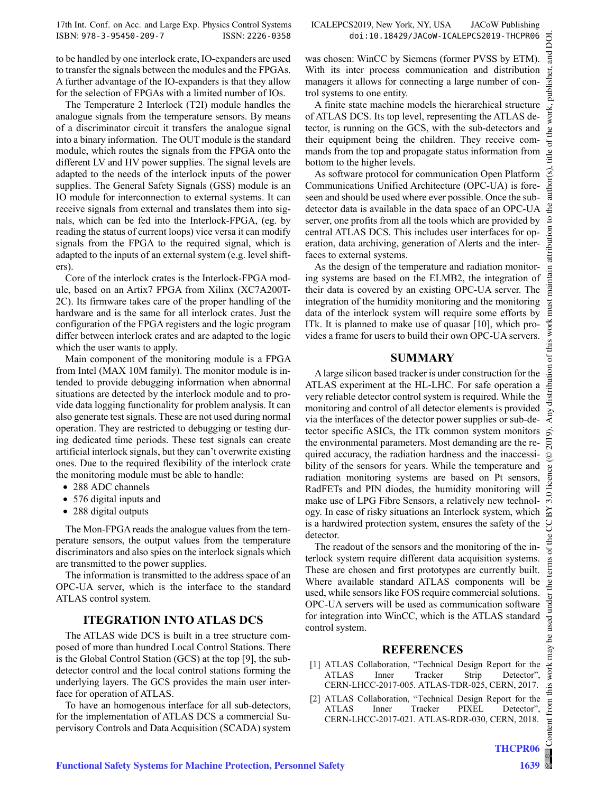ist  $\overline{a}$ 

this work

 $\overline{\mathfrak{b}}$ 

ıce

to be handled by one interlock crate, IO-expanders are used to transfer the signals between the modules and the FPGAs. A further advantage of the IO-expanders is that they allow for the selection of FPGAs with a limited number of IOs.

The Temperature 2 Interlock (T2I) module handles the analogue signals from the temperature sensors. By means of a discriminator circuit it transfers the analogue signal into a binary information. The OUT module is the standard module, which routes the signals from the FPGA onto the different LV and HV power supplies. The signal levels are adapted to the needs of the interlock inputs of the power supplies. The General Safety Signals (GSS) module is an IO module for interconnection to external systems. It can receive signals from external and translates them into signals, which can be fed into the Interlock-FPGA, (eg. by reading the status of current loops) vice versa it can modify signals from the FPGA to the required signal, which is adapted to the inputs of an external system (e.g. level shifters).

Core of the interlock crates is the Interlock-FPGA module, based on an Artix7 FPGA from Xilinx (XC7A200T-2C). Its firmware takes care of the proper handling of the hardware and is the same for all interlock crates. Just the configuration of the FPGA registers and the logic program differ between interlock crates and are adapted to the logic which the user wants to apply.

Main component of the monitoring module is a FPGA from Intel (MAX 10M family). The monitor module is intended to provide debugging information when abnormal situations are detected by the interlock module and to provide data logging functionality for problem analysis. It can also generate test signals. These are not used during normal operation. They are restricted to debugging or testing during dedicated time periods. These test signals can create artificial interlock signals, but they can't overwrite existing ones. Due to the required flexibility of the interlock crate the monitoring module must be able to handle:

- 288 ADC channels
- 576 digital inputs and
- 288 digital outputs

The Mon-FPGA reads the analogue values from the temperature sensors, the output values from the temperature discriminators and also spies on the interlock signals which are transmitted to the power supplies.

The information is transmitted to the address space of an OPC-UA server, which is the interface to the standard ATLAS control system.

# **ITEGRATION INTO ATLAS DCS**

The ATLAS wide DCS is built in a tree structure composed of more than hundred Local Control Stations. There is the Global Control Station (GCS) at the top [9], the subdetector control and the local control stations forming the underlying layers. The GCS provides the main user interface for operation of ATLAS.

To have an homogenous interface for all sub-detectors, for the implementation of ATLAS DCS a commercial Supervisory Controls and Data Acquisition (SCADA) system

was chosen: WinCC by Siemens (former PVSS by ETM). With its inter process communication and distribution managers it allows for connecting a large number of control systems to one entity.

A finite state machine models the hierarchical structure of ATLAS DCS. Its top level, representing the ATLAS detector, is running on the GCS, with the sub-detectors and their equipment being the children. They receive commands from the top and propagate status information from bottom to the higher levels.

As software protocol for communication Open Platform Communications Unified Architecture (OPC-UA) is foreseen and should be used where ever possible. Once the subdetector data is available in the data space of an OPC-UA server, one profits from all the tools which are provided by central ATLAS DCS. This includes user interfaces for operation, data archiving, generation of Alerts and the interfaces to external systems.

As the design of the temperature and radiation monitoring systems are based on the ELMB2, the integration of their data is covered by an existing OPC-UA server. The integration of the humidity monitoring and the monitoring data of the interlock system will require some efforts by ITk. It is planned to make use of quasar [10], which provides a frame for users to build their own OPC-UA servers.

#### **SUMMARY**

ny distribution A large silicon based tracker is under construction for the ATLAS experiment at the HL-LHC. For safe operation a very reliable detector control system is required. While the monitoring and control of all detector elements is provided via the interfaces of the detector power supplies or sub-detector specific ASICs, the ITk common system monitors the environmental parameters. Most demanding are the re- $\bar{\rm s}$ quired accuracy, the radiation hardness and the inaccessi- $\odot$ bility of the sensors for years. While the temperature and radiation monitoring systems are based on Pt sensors, RadFETs and PIN diodes, the humidity monitoring will  $3.0$ make use of LPG Fibre Sensors, a relatively new technology. In case of risky situations an Interlock system, which ñ is a hardwired protection system, ensures the safety of the g detector.

The readout of the sensors and the monitoring of the interlock system require different data acquisition systems. These are chosen and first prototypes are currently built. Where available standard ATLAS components will be used, while sensors like FOS require commercial solutions. OPC-UA servers will be used as communication software for integration into WinCC, which is the ATLAS standard control system.

#### **REFERENCES**

- [1] ATLAS Collaboration, "Technical Design Report for the ATLAS Inner Tracker Strip Detector", CERN-LHCC-2017-005. ATLAS-TDR-025, CERN, 2017.
- [2] ATLAS Collaboration, "Technical Design Report for the ATLAS Inner Tracker PIXEL Detector", CERN-LHCC-2017-021. ATLAS-RDR-030, CERN, 2018.

Content from this work may be used under the terms of the CC BY 3.0 licence ( $@$ 

used under

فط may work this from tent  $\overline{\text{Cont}}$ 

terms of

he i